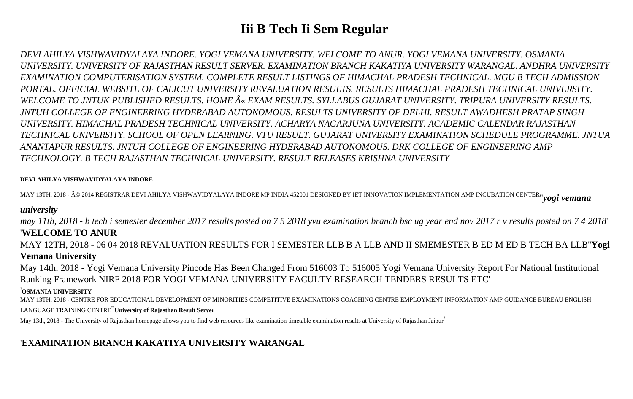# **Iii B Tech Ii Sem Regular**

*DEVI AHILYA VISHWAVIDYALAYA INDORE. YOGI VEMANA UNIVERSITY. WELCOME TO ANUR. YOGI VEMANA UNIVERSITY. OSMANIA UNIVERSITY. UNIVERSITY OF RAJASTHAN RESULT SERVER. EXAMINATION BRANCH KAKATIYA UNIVERSITY WARANGAL. ANDHRA UNIVERSITY EXAMINATION COMPUTERISATION SYSTEM. COMPLETE RESULT LISTINGS OF HIMACHAL PRADESH TECHNICAL. MGU B TECH ADMISSION PORTAL. OFFICIAL WEBSITE OF CALICUT UNIVERSITY REVALUATION RESULTS. RESULTS HIMACHAL PRADESH TECHNICAL UNIVERSITY.* WELCOME TO JNTUK PUBLISHED RESULTS. HOME  $\hat{A}$ « EXAM RESULTS. SYLLABUS GUJARAT UNIVERSITY. TRIPURA UNIVERSITY RESULTS. *JNTUH COLLEGE OF ENGINEERING HYDERABAD AUTONOMOUS. RESULTS UNIVERSITY OF DELHI. RESULT AWADHESH PRATAP SINGH UNIVERSITY. HIMACHAL PRADESH TECHNICAL UNIVERSITY. ACHARYA NAGARJUNA UNIVERSITY. ACADEMIC CALENDAR RAJASTHAN TECHNICAL UNIVERSITY. SCHOOL OF OPEN LEARNING. VTU RESULT. GUJARAT UNIVERSITY EXAMINATION SCHEDULE PROGRAMME. JNTUA ANANTAPUR RESULTS. JNTUH COLLEGE OF ENGINEERING HYDERABAD AUTONOMOUS. DRK COLLEGE OF ENGINEERING AMP TECHNOLOGY. B TECH RAJASTHAN TECHNICAL UNIVERSITY. RESULT RELEASES KRISHNA UNIVERSITY*

#### **DEVI AHILYA VISHWAVIDYALAYA INDORE**

MAY 13TH, 2018 - © 2014 REGISTRAR DEVI AHILYA VISHWAVIDYALAYA INDORE MP INDIA 452001 DESIGNED BY IET INNOVATION IMPLEMENTATION AMP INCUBATION CENTER''*yogi vemana*

#### *university*

*may 11th, 2018 - b tech i semester december 2017 results posted on 7 5 2018 yvu examination branch bsc ug year end nov 2017 r v results posted on 7 4 2018*' '**WELCOME TO ANUR**

MAY 12TH, 2018 - 06 04 2018 REVALUATION RESULTS FOR I SEMESTER LLB B A LLB AND II SMEMESTER B ED M ED B TECH BA LLB''**Yogi Vemana University**

May 14th, 2018 - Yogi Vemana University Pincode Has Been Changed From 516003 To 516005 Yogi Vemana University Report For National Institutional Ranking Framework NIRF 2018 FOR YOGI VEMANA UNIVERSITY FACULTY RESEARCH TENDERS RESULTS ETC'

#### '**OSMANIA UNIVERSITY**

MAY 13TH, 2018 - CENTRE FOR EDUCATIONAL DEVELOPMENT OF MINORITIES COMPETITIVE EXAMINATIONS COACHING CENTRE EMPLOYMENT INFORMATION AMP GUIDANCE BUREAU ENGLISH

#### LANGUAGE TRAINING CENTRE''**University of Rajasthan Result Server**

May 13th, 2018 - The University of Rajasthan homepage allows you to find web resources like examination timetable examination results at University of Rajasthan Jaipur

## '**EXAMINATION BRANCH KAKATIYA UNIVERSITY WARANGAL**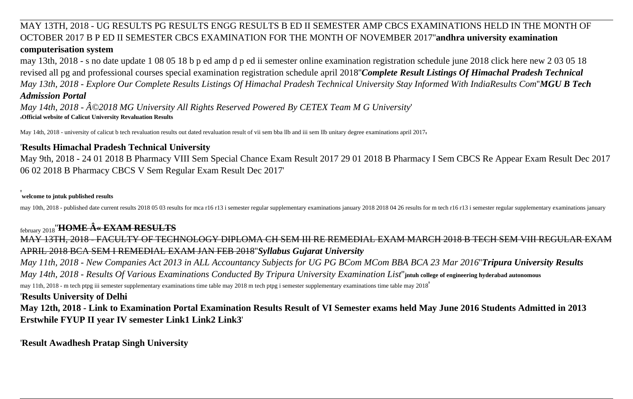## MAY 13TH, 2018 - UG RESULTS PG RESULTS ENGG RESULTS B ED II SEMESTER AMP CBCS EXAMINATIONS HELD IN THE MONTH OF OCTOBER 2017 B P ED II SEMESTER CBCS EXAMINATION FOR THE MONTH OF NOVEMBER 2017''**andhra university examination computerisation system**

may 13th, 2018 - s no date update 1 08 05 18 b p ed amp d p ed ii semester online examination registration schedule june 2018 click here new 2 03 05 18 revised all pg and professional courses special examination registration schedule april 2018''*Complete Result Listings Of Himachal Pradesh Technical May 13th, 2018 - Explore Our Complete Results Listings Of Himachal Pradesh Technical University Stay Informed With IndiaResults Com*''*MGU B Tech Admission Portal*

*May 14th, 2018 - ©2018 MG University All Rights Reserved Powered By CETEX Team M G University*' '**Official website of Calicut University Revaluation Results**

May 14th, 2018 - university of calicut b tech revaluation results out dated revaluation result of vii sem bba llb and iii sem llb unitary degree examinations april 2017.

#### '**Results Himachal Pradesh Technical University**

May 9th, 2018 - 24 01 2018 B Pharmacy VIII Sem Special Chance Exam Result 2017 29 01 2018 B Pharmacy I Sem CBCS Re Appear Exam Result Dec 2017 06 02 2018 B Pharmacy CBCS V Sem Regular Exam Result Dec 2017'

#### '**welcome to jntuk published results**

may 10th, 2018 - published date current results 2018 05 03 results for mca r16 r13 i semester regular supplementary examinations january 2018 2018 04 26 results for m tech r16 r13 i semester regular supplementary examinati

## february 2018<sup>"</sup>**HOME**  $\hat{A}$  **« EXAM RESULTS**

MAY 13TH, 2018 - FACULTY OF TECHNOLOGY DIPLOMA CH SEM III RE REMEDIAL EXAM MARCH 2018 B TECH SEM VIII REGULAR EXAM APRIL 2018 BCA SEM I REMEDIAL EXAM JAN FEB 2018''*Syllabus Gujarat University*

*May 11th, 2018 - New Companies Act 2013 in ALL Accountancy Subjects for UG PG BCom MCom BBA BCA 23 Mar 2016*''*Tripura University Results May 14th, 2018 - Results Of Various Examinations Conducted By Tripura University Examination List*''**jntuh college of engineering hyderabad autonomous** may 11th, 2018 - m tech ptpg iii semester supplementary examinations time table may 2018 m tech ptpg i semester supplementary examinations time table may 2018'

#### '**Results University of Delhi**

**May 12th, 2018 - Link to Examination Portal Examination Results Result of VI Semester exams held May June 2016 Students Admitted in 2013 Erstwhile FYUP II year IV semester Link1 Link2 Link3**'

'**Result Awadhesh Pratap Singh University**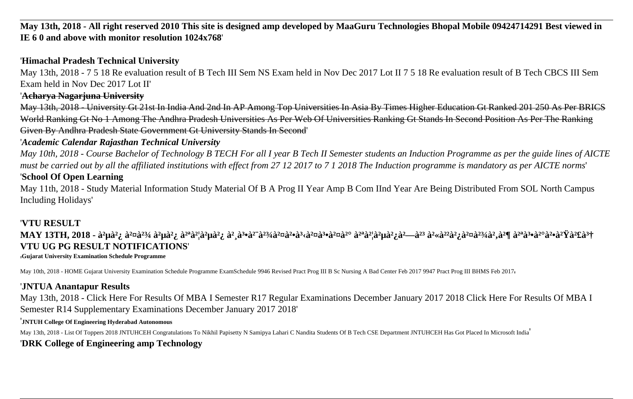**May 13th, 2018 - All right reserved 2010 This site is designed amp developed by MaaGuru Technologies Bhopal Mobile 09424714291 Best viewed in IE 6 0 and above with monitor resolution 1024x768**'

## '**Himachal Pradesh Technical University**

May 13th, 2018 - 7 5 18 Re evaluation result of B Tech III Sem NS Exam held in Nov Dec 2017 Lot II 7 5 18 Re evaluation result of B Tech CBCS III Sem Exam held in Nov Dec 2017 Lot II'

#### '**Acharya Nagarjuna University**

May 13th, 2018 - University Gt 21st In India And 2nd In AP Among Top Universities In Asia By Times Higher Education Gt Ranked 201 250 As Per BRICS World Ranking Gt No 1 Among The Andhra Pradesh Universities As Per Web Of Universities Ranking Gt Stands In Second Position As Per The Ranking Given By Andhra Pradesh State Government Gt University Stands In Second'

## '*Academic Calendar Rajasthan Technical University*

*May 10th, 2018 - Course Bachelor of Technology B TECH For all I year B Tech II Semester students an Induction Programme as per the guide lines of AICTE must be carried out by all the affiliated institutions with effect from 27 12 2017 to 7 1 2018 The Induction programme is mandatory as per AICTE norms*'

## '**School Of Open Learning**

May 11th, 2018 - Study Material Information Study Material Of B A Prog II Year Amp B Com IInd Year Are Being Distributed From SOL North Campus Including Holidays'

## '**VTU RESULT**

MAY 13TH, 2018 - à<sup>2</sup>µà<sup>2</sup>¿ à<sup>2¤</sup>à<sup>23</sup>⁄4 à<sup>2</sup>µà<sup>2</sup>¿ à<sup>2</sup>ªà<sup>2</sup>|à<sup>2</sup>µà<sup>2</sup>¿ à<sup>2</sup> à<sup>3</sup>•à<sup>2</sup>¨à<sup>23</sup>⁄aà<sup>2</sup>¤à<sup>2</sup>¤à<sup>2</sup>¤à<sup>3</sup>•à<sup>2¤</sup>à<sup>2</sup>¤à<sup>2</sup>¤à<sup>2</sup>à à<sup>2</sup>¤à<sup>2</sup>à à<sup>2</sup>∞à<sup>2</sup>à à<sup>2</sup>¶ à<sup>2ª</sup>à <sup>3</sup>•à<sup>2</sup>°à <sup>2</sup>¥à 4£à 3† **VTU UG PG RESULT NOTIFICATIONS**'

'**Gujarat University Examination Schedule Programme**

May 10th, 2018 - HOME Gujarat University Examination Schedule Programme ExamSchedule 9946 Revised Pract Prog III B Sc Nursing A Bad Center Feb 2017 9947 Pract Prog III BHMS Feb 2017,

## '**JNTUA Anantapur Results**

May 13th, 2018 - Click Here For Results Of MBA I Semester R17 Regular Examinations December January 2017 2018 Click Here For Results Of MBA I Semester R14 Supplementary Examinations December January 2017 2018'

#### '**JNTUH College Of Engineering Hyderabad Autonomous**

May 13th, 2018 - List Of Toppers 2018 JNTUHCEH Congratulations To Nikhil Papisetty N Samipya Lahari C Nandita Students Of B Tech CSE Department JNTUHCEH Has Got Placed In Microsoft India<sup>'</sup>

## '**DRK College of Engineering amp Technology**